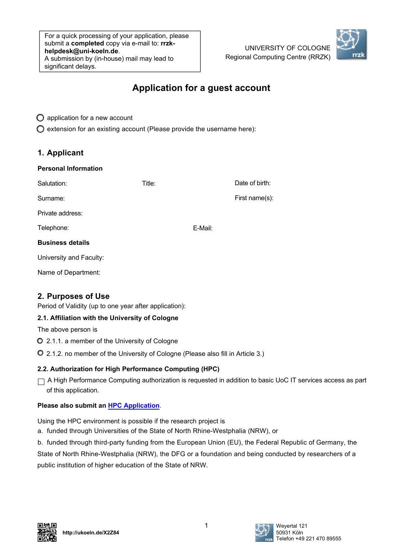

# **Application for a guest account**

 $\bigcirc$  application for a new account

 $\bigcirc$  extension for an existing account (Please provide the username here):

## **1. Applicant**

#### Date of birth: First name(s): E-Mail: Title: **Personal Information**  Salutation: Surname: Private address: Telephone: **Business details** University and Faculty: Name of Department:

## **2. Purposes of Use**

Period of Validity (up to one year after application):

### **2.1. Affiliation with the University of Cologne**

The above person is

2.1.1. a member of the University of Cologne

2.1.2. no member of the University of Cologne (Please also fill in Article 3.)

### **2.2. Authorization for High Performance Computing (HPC)**

□ A High Performance Computing authorization is requested in addition to basic UoC IT services access as part of this application.

#### **Please also submit an [HPC Application](https://rrzk.uni-koeln.de/en/hpc-projects/hpc/access-and-use-instructions)**.

Using the HPC environment is possible if the research project is

a. funded through Universities of the State of North Rhine-Westphalia (NRW), or

b. funded through third-party funding from the European Union (EU), the Federal Republic of Germany, the

State of North Rhine-Westphalia (NRW), the DFG or a foundation and being conducted by researchers of a public institution of higher education of the State of NRW.